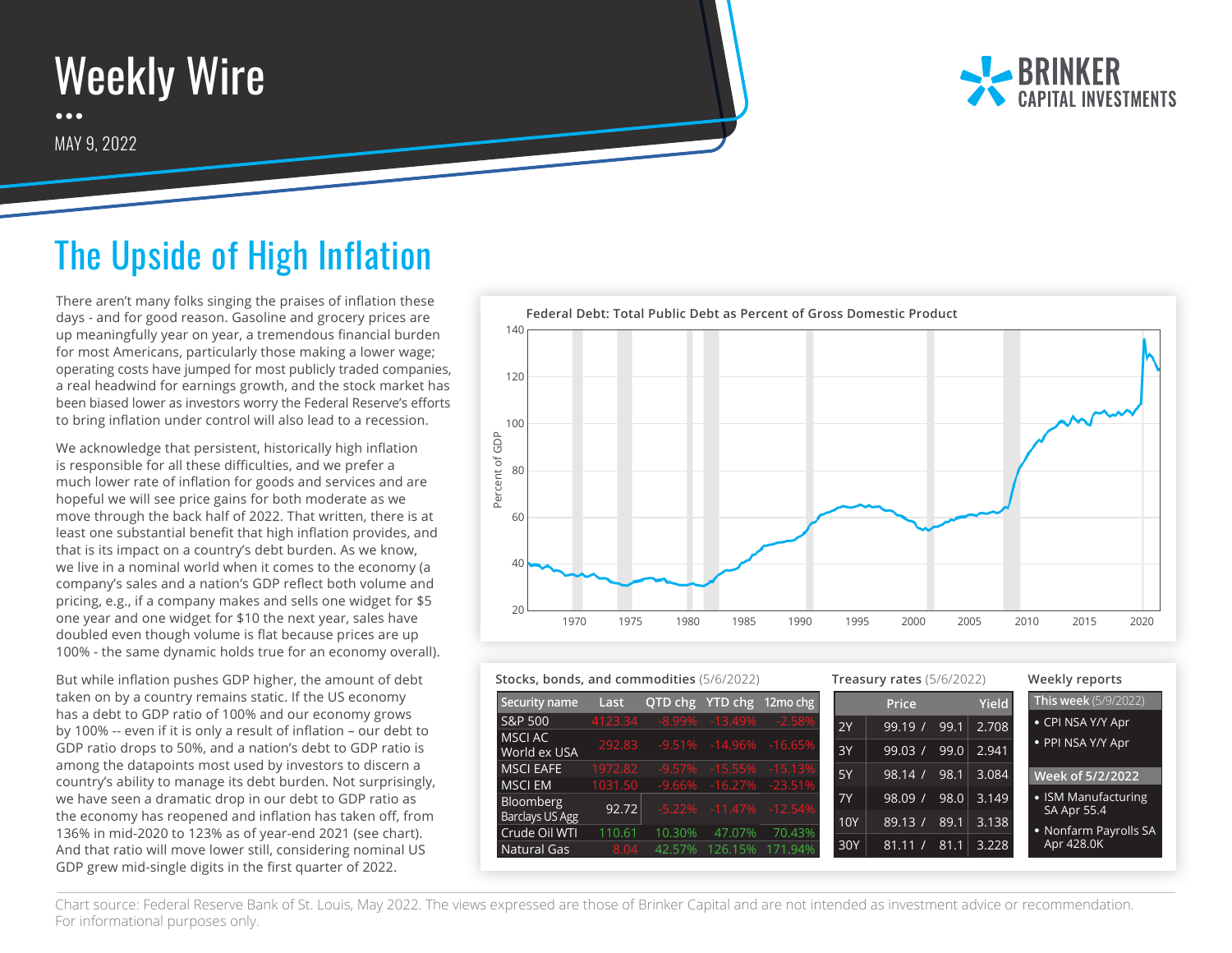## Weekly Wire  $\bullet\bullet\bullet$

MAY 9, 2022



## The Upside of High Inflation

There aren't many folks singing the praises of inflation these days - and for good reason. Gasoline and grocery prices are up meaningfully year on year, a tremendous financial burden for most Americans, particularly those making a lower wage; operating costs have jumped for most publicly traded companies, a real headwind for earnings growth, and the stock market has been biased lower as investors worry the Federal Reserve's efforts to bring inflation under control will also lead to a recession.

We acknowledge that persistent, historically high inflation is responsible for all these difficulties, and we prefer a much lower rate of inflation for goods and services and are hopeful we will see price gains for both moderate as we move through the back half of 2022. That written, there is at least one substantial benefit that high inflation provides, and that is its impact on a country's debt burden. As we know, we live in a nominal world when it comes to the economy (a company's sales and a nation's GDP reflect both volume and pricing, e.g., if a company makes and sells one widget for \$5 one year and one widget for \$10 the next year, sales have doubled even though volume is flat because prices are up 100% - the same dynamic holds true for an economy overall).

But while inflation pushes GDP higher, the amount of debt taken on by a country remains static. If the US economy has a debt to GDP ratio of 100% and our economy grows by 100% -- even if it is only a result of inflation – our debt to GDP ratio drops to 50%, and a nation's debt to GDP ratio is among the datapoints most used by investors to discern a country's ability to manage its debt burden. Not surprisingly, we have seen a dramatic drop in our debt to GDP ratio as the economy has reopened and inflation has taken off, from 136% in mid-2020 to 123% as of year-end 2021 (see chart). And that ratio will move lower still, considering nominal US GDP grew mid-single digits in the first quarter of 2022.



| Stocks, bonds, and commodities (5/6/2022) |                |                  | Treasury rates $(5/6/2022)$ |                                          |            |                                   | Weekly reports |              |                                     |
|-------------------------------------------|----------------|------------------|-----------------------------|------------------------------------------|------------|-----------------------------------|----------------|--------------|-------------------------------------|
| Security name                             | Last           |                  |                             | QTD chg YTD chg 12mo chg                 |            | Price                             |                | <b>Yield</b> | <b>This week</b> (5/9/2022)         |
| S&P 500                                   | 4123.34        | $-8.99\%$        | $-13.49%$                   | $-2.58%$                                 | 2Y         | 99.19/                            | 99.1           | 2.708        | • CPI NSA Y/Y Apr                   |
| MSCI AC<br>World ex USA                   | 292.83         |                  |                             | $-9.51\% -14.96\% -16.65\%$              | 3Y         | 99.03/                            | 99.0           | 2.941        | • PPI NSA Y/Y Apr                   |
| <b>MSCI EAFE</b>                          | 1972.82        | $-9.57\%$        | $-15.55%$                   | $-15.13%$                                | 5Y         | 98.14 /                           | 98.1           | 3.084        | Week of 5/2/2022                    |
| <b>MSCI EM</b><br><b>Bloomberg</b>        | 1031.50        |                  |                             | $-9.66\% -16.27\% -23.51\%$<br>$-12.54%$ | <b>7Y</b>  | 98.09<br>$\overline{\phantom{a}}$ | 98.0           | 3.149        | • ISM Manufacturing                 |
| Barclays US Agg                           | 92.72          |                  | $-5.22\% -11.47\%$          |                                          | <b>10Y</b> | 89.13/                            | 89.1           | 3.138        | SA Apr 55.4                         |
| Crude Oil WTI<br>Natural Gas              | 110.61<br>8.04 | 10.30%<br>42.57% | 47.07%<br>126.15%           | 70.43%<br>171.94%                        | 30Y        | 81.11                             | 81.1           | 3.228        | • Nonfarm Payrolls SA<br>Apr 428.0K |

Chart source: Federal Reserve Bank of St. Louis, May 2022. The views expressed are those of Brinker Capital and are not intended as investment advice or recommendation. For informational purposes only.